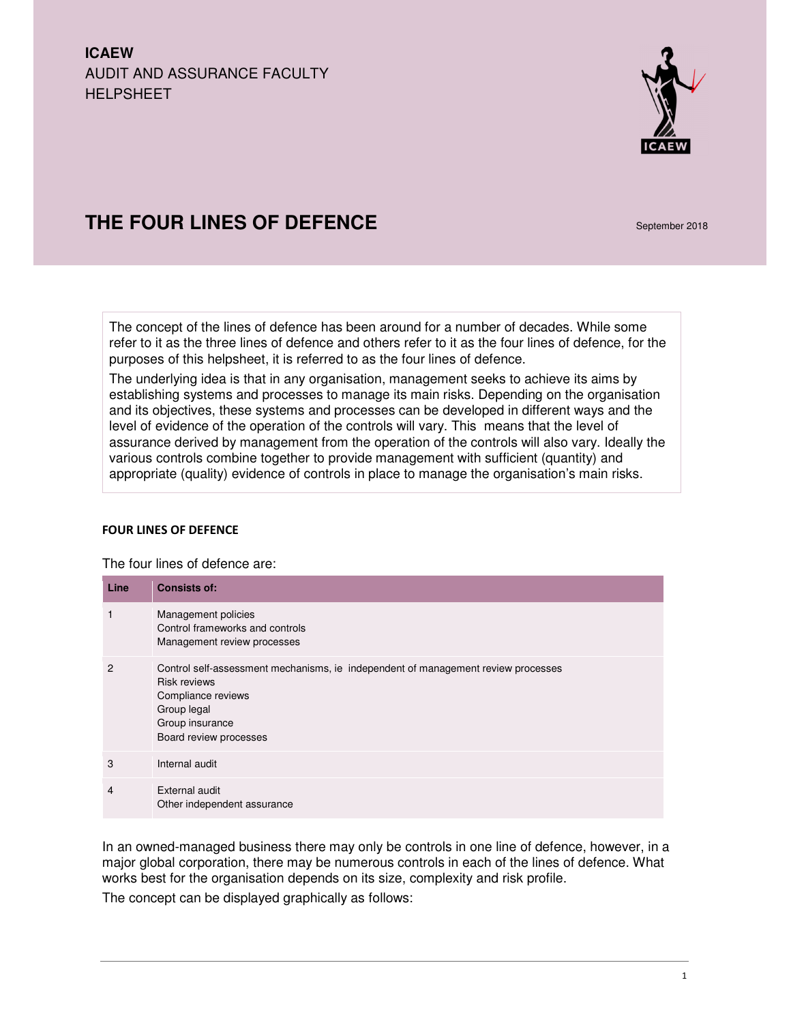**ICAEW**  AUDIT AND ASSURANCE FACULTY HELPSHEET



# **THE FOUR LINES OF DEFENCE September 2018**

The concept of the lines of defence has been around for a number of decades. While some refer to it as the three lines of defence and others refer to it as the four lines of defence, for the purposes of this helpsheet, it is referred to as the four lines of defence.

The underlying idea is that in any organisation, management seeks to achieve its aims by establishing systems and processes to manage its main risks. Depending on the organisation and its objectives, these systems and processes can be developed in different ways and the level of evidence of the operation of the controls will vary. This means that the level of assurance derived by management from the operation of the controls will also vary. Ideally the various controls combine together to provide management with sufficient (quantity) and appropriate (quality) evidence of controls in place to manage the organisation's main risks.

## FOUR LINES OF DEFENCE

The four lines of defence are:

| Line | <b>Consists of:</b>                                                                                                                                                                        |
|------|--------------------------------------------------------------------------------------------------------------------------------------------------------------------------------------------|
| 1    | Management policies<br>Control frameworks and controls<br>Management review processes                                                                                                      |
| 2    | Control self-assessment mechanisms, ie independent of management review processes<br><b>Risk reviews</b><br>Compliance reviews<br>Group legal<br>Group insurance<br>Board review processes |
| 3    | Internal audit                                                                                                                                                                             |
| 4    | External audit<br>Other independent assurance                                                                                                                                              |

In an owned-managed business there may only be controls in one line of defence, however, in a major global corporation, there may be numerous controls in each of the lines of defence. What works best for the organisation depends on its size, complexity and risk profile.

The concept can be displayed graphically as follows: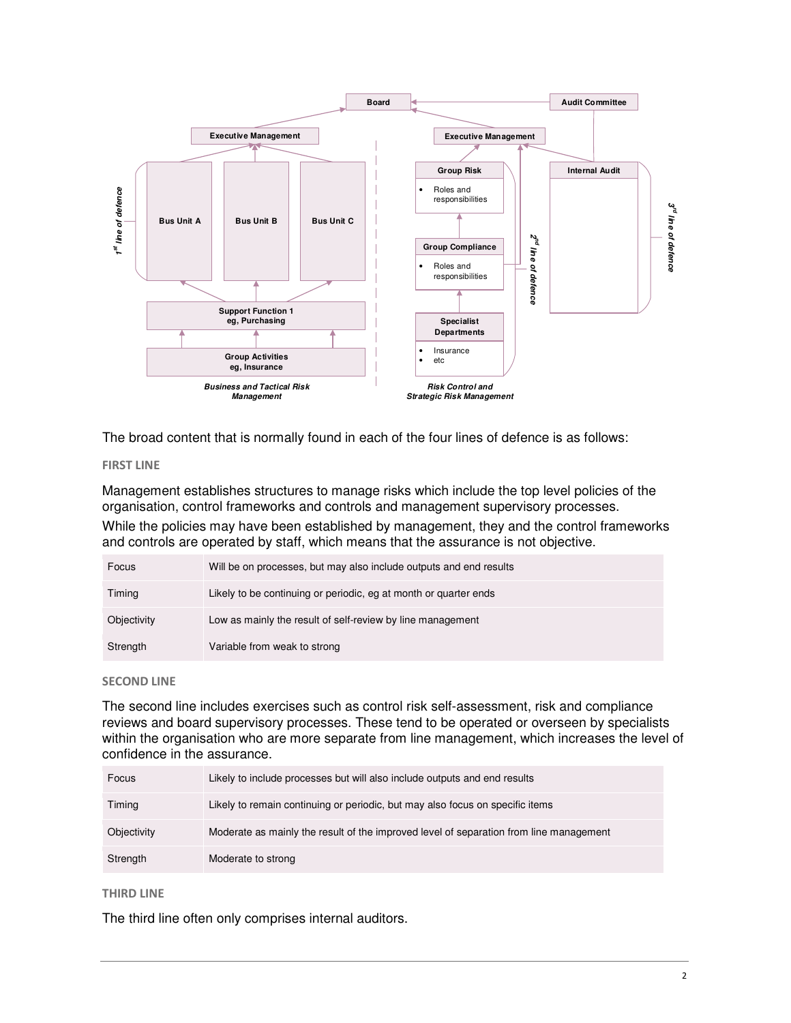

The broad content that is normally found in each of the four lines of defence is as follows:

## FIRST LINE

Management establishes structures to manage risks which include the top level policies of the organisation, control frameworks and controls and management supervisory processes.

While the policies may have been established by management, they and the control frameworks and controls are operated by staff, which means that the assurance is not objective.

| Focus       | Will be on processes, but may also include outputs and end results |
|-------------|--------------------------------------------------------------------|
| Timing      | Likely to be continuing or periodic, eg at month or quarter ends   |
| Objectivity | Low as mainly the result of self-review by line management         |
| Strength    | Variable from weak to strong                                       |

## SECOND LINE

The second line includes exercises such as control risk self-assessment, risk and compliance reviews and board supervisory processes. These tend to be operated or overseen by specialists within the organisation who are more separate from line management, which increases the level of confidence in the assurance.

| Focus       | Likely to include processes but will also include outputs and end results              |
|-------------|----------------------------------------------------------------------------------------|
| Timing      | Likely to remain continuing or periodic, but may also focus on specific items          |
| Objectivity | Moderate as mainly the result of the improved level of separation from line management |
| Strength    | Moderate to strong                                                                     |

## THIRD LINE

The third line often only comprises internal auditors.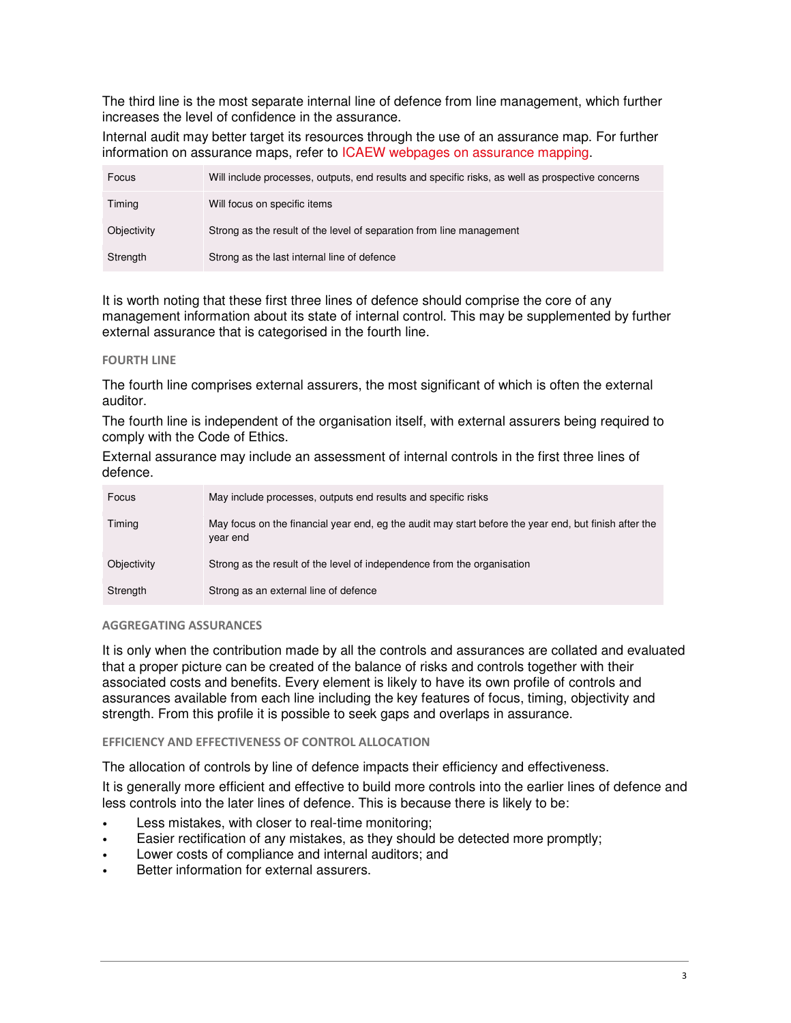The third line is the most separate internal line of defence from line management, which further increases the level of confidence in the assurance.

Internal audit may better target its resources through the use of an assurance map. For further information on assurance maps, refer to ICAEW webpages on assurance mapping.

| Focus       | Will include processes, outputs, end results and specific risks, as well as prospective concerns |
|-------------|--------------------------------------------------------------------------------------------------|
| Timing      | Will focus on specific items                                                                     |
| Objectivity | Strong as the result of the level of separation from line management                             |
| Strength    | Strong as the last internal line of defence                                                      |

It is worth noting that these first three lines of defence should comprise the core of any management information about its state of internal control. This may be supplemented by further external assurance that is categorised in the fourth line.

## FOURTH LINE

The fourth line comprises external assurers, the most significant of which is often the external auditor.

The fourth line is independent of the organisation itself, with external assurers being required to comply with the Code of Ethics.

External assurance may include an assessment of internal controls in the first three lines of defence.

| Focus       | May include processes, outputs end results and specific risks                                                     |
|-------------|-------------------------------------------------------------------------------------------------------------------|
| Timing      | May focus on the financial year end, eg the audit may start before the year end, but finish after the<br>year end |
| Objectivity | Strong as the result of the level of independence from the organisation                                           |
| Strength    | Strong as an external line of defence                                                                             |

## AGGREGATING ASSURANCES

It is only when the contribution made by all the controls and assurances are collated and evaluated that a proper picture can be created of the balance of risks and controls together with their associated costs and benefits. Every element is likely to have its own profile of controls and assurances available from each line including the key features of focus, timing, objectivity and strength. From this profile it is possible to seek gaps and overlaps in assurance.

# EFFICIENCY AND EFFECTIVENESS OF CONTROL ALLOCATION

The allocation of controls by line of defence impacts their efficiency and effectiveness.

It is generally more efficient and effective to build more controls into the earlier lines of defence and less controls into the later lines of defence. This is because there is likely to be:

- Less mistakes, with closer to real-time monitoring;
- Easier rectification of any mistakes, as they should be detected more promptly;
- Lower costs of compliance and internal auditors; and
- Better information for external assurers.